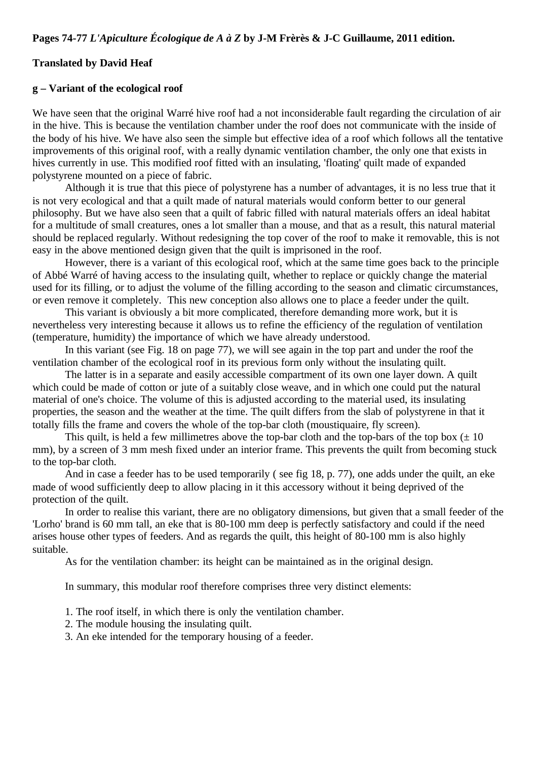## **Translated by David Heaf**

## **g – Variant of the ecological roof**

We have seen that the original Warré hive roof had a not inconsiderable fault regarding the circulation of air in the hive. This is because the ventilation chamber under the roof does not communicate with the inside of the body of his hive. We have also seen the simple but effective idea of a roof which follows all the tentative improvements of this original roof, with a really dynamic ventilation chamber, the only one that exists in hives currently in use. This modified roof fitted with an insulating, 'floating' quilt made of expanded polystyrene mounted on a piece of fabric.

Although it is true that this piece of polystyrene has a number of advantages, it is no less true that it is not very ecological and that a quilt made of natural materials would conform better to our general philosophy. But we have also seen that a quilt of fabric filled with natural materials offers an ideal habitat for a multitude of small creatures, ones a lot smaller than a mouse, and that as a result, this natural material should be replaced regularly. Without redesigning the top cover of the roof to make it removable, this is not easy in the above mentioned design given that the quilt is imprisoned in the roof.

However, there is a variant of this ecological roof, which at the same time goes back to the principle of Abbé Warré of having access to the insulating quilt, whether to replace or quickly change the material used for its filling, or to adjust the volume of the filling according to the season and climatic circumstances, or even remove it completely. This new conception also allows one to place a feeder under the quilt.

This variant is obviously a bit more complicated, therefore demanding more work, but it is nevertheless very interesting because it allows us to refine the efficiency of the regulation of ventilation (temperature, humidity) the importance of which we have already understood.

In this variant (see Fig. 18 on page 77), we will see again in the top part and under the roof the ventilation chamber of the ecological roof in its previous form only without the insulating quilt.

The latter is in a separate and easily accessible compartment of its own one layer down. A quilt which could be made of cotton or jute of a suitably close weave, and in which one could put the natural material of one's choice. The volume of this is adjusted according to the material used, its insulating properties, the season and the weather at the time. The quilt differs from the slab of polystyrene in that it totally fills the frame and covers the whole of the top-bar cloth (moustiquaire, fly screen).

This quilt, is held a few millimetres above the top-bar cloth and the top-bars of the top box  $(\pm 10)$ mm), by a screen of 3 mm mesh fixed under an interior frame. This prevents the quilt from becoming stuck to the top-bar cloth.

And in case a feeder has to be used temporarily ( see fig 18, p. 77), one adds under the quilt, an eke made of wood sufficiently deep to allow placing in it this accessory without it being deprived of the protection of the quilt.

In order to realise this variant, there are no obligatory dimensions, but given that a small feeder of the 'Lorho' brand is 60 mm tall, an eke that is 80-100 mm deep is perfectly satisfactory and could if the need arises house other types of feeders. And as regards the quilt, this height of 80-100 mm is also highly suitable.

As for the ventilation chamber: its height can be maintained as in the original design.

In summary, this modular roof therefore comprises three very distinct elements:

- 1. The roof itself, in which there is only the ventilation chamber.
- 2. The module housing the insulating quilt.
- 3. An eke intended for the temporary housing of a feeder.